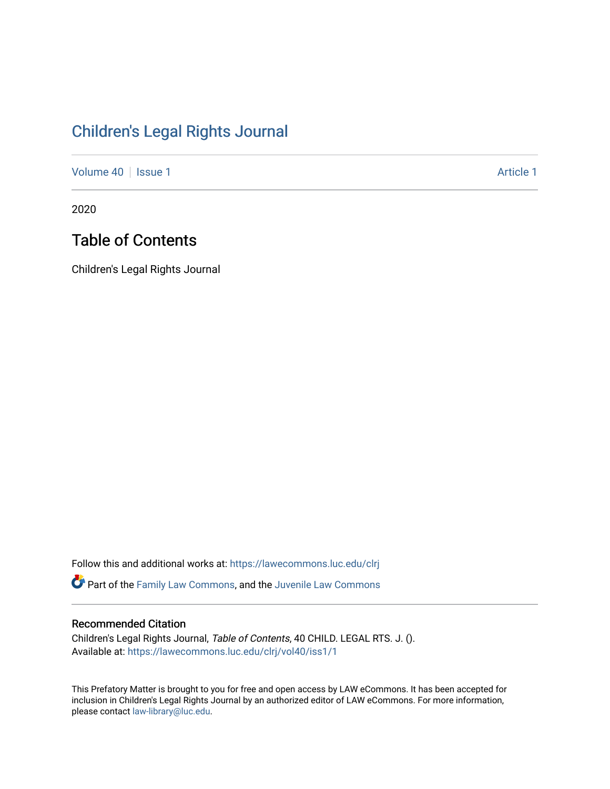# [Children's Legal Rights Journal](https://lawecommons.luc.edu/clrj)

[Volume 40](https://lawecommons.luc.edu/clrj/vol40) | [Issue 1](https://lawecommons.luc.edu/clrj/vol40/iss1) Article 1

2020

## Table of Contents

Children's Legal Rights Journal

Follow this and additional works at: [https://lawecommons.luc.edu/clrj](https://lawecommons.luc.edu/clrj?utm_source=lawecommons.luc.edu%2Fclrj%2Fvol40%2Fiss1%2F1&utm_medium=PDF&utm_campaign=PDFCoverPages)

Part of the [Family Law Commons,](http://network.bepress.com/hgg/discipline/602?utm_source=lawecommons.luc.edu%2Fclrj%2Fvol40%2Fiss1%2F1&utm_medium=PDF&utm_campaign=PDFCoverPages) and the [Juvenile Law Commons](http://network.bepress.com/hgg/discipline/851?utm_source=lawecommons.luc.edu%2Fclrj%2Fvol40%2Fiss1%2F1&utm_medium=PDF&utm_campaign=PDFCoverPages) 

## Recommended Citation

Children's Legal Rights Journal, Table of Contents, 40 CHILD. LEGAL RTS. J. (). Available at: [https://lawecommons.luc.edu/clrj/vol40/iss1/1](https://lawecommons.luc.edu/clrj/vol40/iss1/1?utm_source=lawecommons.luc.edu%2Fclrj%2Fvol40%2Fiss1%2F1&utm_medium=PDF&utm_campaign=PDFCoverPages) 

This Prefatory Matter is brought to you for free and open access by LAW eCommons. It has been accepted for inclusion in Children's Legal Rights Journal by an authorized editor of LAW eCommons. For more information, please contact [law-library@luc.edu](mailto:law-library@luc.edu).